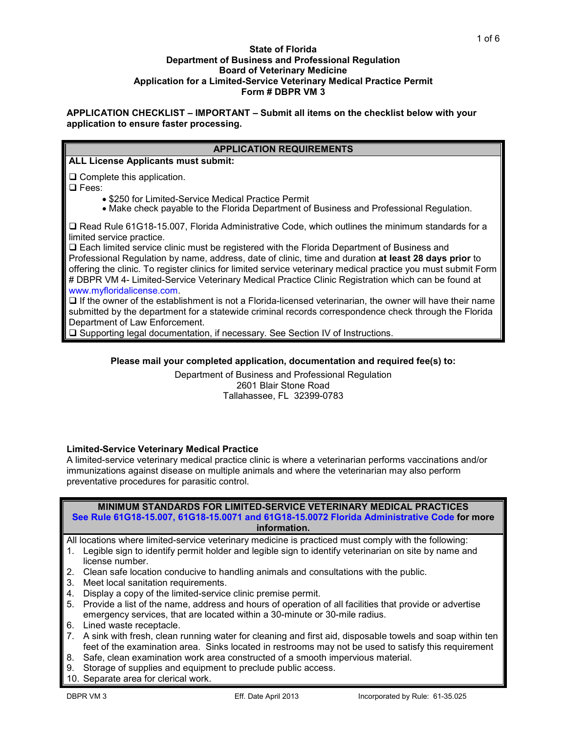#### **State of Florida Department of Business and Professional Regulation Board of Veterinary Medicine Application for a Limited-Service Veterinary Medical Practice Permit Form # DBPR VM 3**

### **APPLICATION CHECKLIST – IMPORTANT – Submit all items on the checklist below with your application to ensure faster processing.**

# **APPLICATION REQUIREMENTS**

**ALL License Applicants must submit:**

 $\square$  Complete this application.

□ Fees:

- 
- \$250 for Limited-Service Medical Practice Permit<br>• Make check payable to the Florida Department of Business and Professional Regulation.

□ Read Rule 61G18-15.007, Florida Administrative Code, which outlines the minimum standards for a limited service practice.

 Each limited service clinic must be registered with the Florida Department of Business and Professional Regulation by name, address, date of clinic, time and duration **at least 28 days prior** to offering the clinic. To register clinics for limited service veterinary medical practice you must submit Form # DBPR VM 4- Limited-Service Veterinary Medical Practice Clinic Registration which can be found at [www.myfloridalicense.com.](http://www.myfloridalicense.com/)

 $\Box$  If the owner of the establishment is not a Florida-licensed veterinarian, the owner will have their name submitted by the department for a statewide criminal records correspondence check through the Florida Department of Law Enforcement.

Supporting legal documentation, if necessary. See Section IV of Instructions.

### **Please mail your completed application, documentation and required fee(s) to:**

Department of Business and Professional Regulation 2601 Blair Stone Road Tallahassee, FL 32399-0783

### **Limited-Service Veterinary Medical Practice**

A limited-service veterinary medical practice clinic is where a veterinarian performs vaccinations and/or immunizations against disease on multiple animals and where the veterinarian may also perform preventative procedures for parasitic control.

|              |                                                                                             | <b>MINIMUM STANDARDS FOR LIMITED-SERVICE VETERINARY MEDICAL PRACTICES</b> |  |  |  |  |  |  |  |  |  |  |  |  |  |  |  |
|--------------|---------------------------------------------------------------------------------------------|---------------------------------------------------------------------------|--|--|--|--|--|--|--|--|--|--|--|--|--|--|--|
|              | See Rule 61G18-15.007, 61G18-15.0071 and 61G18-15.0072 Florida Administrative Code for more |                                                                           |  |  |  |  |  |  |  |  |  |  |  |  |  |  |  |
| information. |                                                                                             |                                                                           |  |  |  |  |  |  |  |  |  |  |  |  |  |  |  |
|              |                                                                                             |                                                                           |  |  |  |  |  |  |  |  |  |  |  |  |  |  |  |

All locations where limited-service veterinary medicine is practiced must comply with the following:

- 1. Legible sign to identify permit holder and legible sign to identify veterinarian on site by name and license number.
- 2. Clean safe location conducive to handling animals and consultations with the public.
- 3. Meet local sanitation requirements.
- 4. Display a copy of the limited-service clinic premise permit.
- 5. Provide a list of the name, address and hours of operation of all facilities that provide or advertise emergency services, that are located within a 30-minute or 30-mile radius.
- 6. Lined waste receptacle.
- 7. A sink with fresh, clean running water for cleaning and first aid, disposable towels and soap within ten feet of the examination area. Sinks located in restrooms may not be used to satisfy this requirement
- 8. Safe, clean examination work area constructed of a smooth impervious material.
- 9. Storage of supplies and equipment to preclude public access.
- 10. Separate area for clerical work.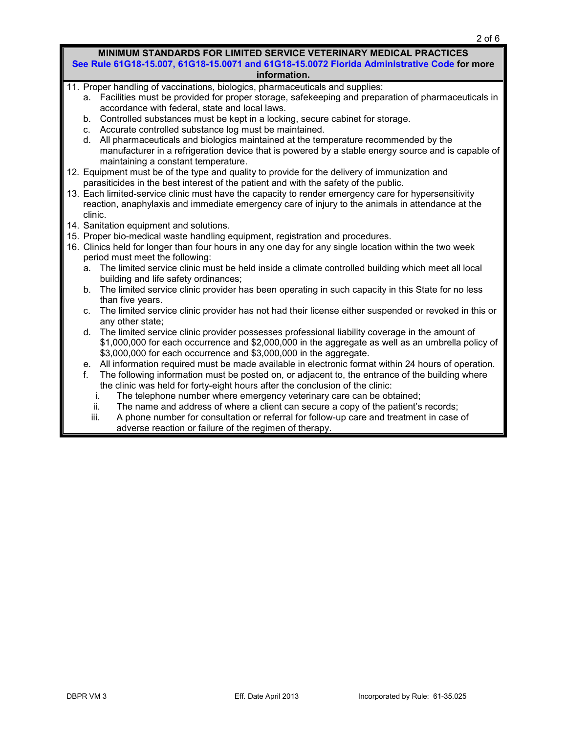|                                                                             | MINIMUM STANDARDS FOR LIMITED SERVICE VETERINARY MEDICAL PRACTICES<br>See Rule 61G18-15.007, 61G18-15.0071 and 61G18-15.0072 Florida Administrative Code for more<br>information. |  |  |  |  |  |  |  |
|-----------------------------------------------------------------------------|-----------------------------------------------------------------------------------------------------------------------------------------------------------------------------------|--|--|--|--|--|--|--|
|                                                                             | 11. Proper handling of vaccinations, biologics, pharmaceuticals and supplies:                                                                                                     |  |  |  |  |  |  |  |
|                                                                             | a. Facilities must be provided for proper storage, safekeeping and preparation of pharmaceuticals in                                                                              |  |  |  |  |  |  |  |
|                                                                             | accordance with federal, state and local laws.                                                                                                                                    |  |  |  |  |  |  |  |
|                                                                             | b. Controlled substances must be kept in a locking, secure cabinet for storage.                                                                                                   |  |  |  |  |  |  |  |
|                                                                             | Accurate controlled substance log must be maintained.<br>C.                                                                                                                       |  |  |  |  |  |  |  |
|                                                                             | All pharmaceuticals and biologics maintained at the temperature recommended by the<br>d.                                                                                          |  |  |  |  |  |  |  |
|                                                                             | manufacturer in a refrigeration device that is powered by a stable energy source and is capable of<br>maintaining a constant temperature.                                         |  |  |  |  |  |  |  |
|                                                                             | 12. Equipment must be of the type and quality to provide for the delivery of immunization and                                                                                     |  |  |  |  |  |  |  |
|                                                                             | parasiticides in the best interest of the patient and with the safety of the public.                                                                                              |  |  |  |  |  |  |  |
|                                                                             | 13. Each limited-service clinic must have the capacity to render emergency care for hypersensitivity                                                                              |  |  |  |  |  |  |  |
|                                                                             | reaction, anaphylaxis and immediate emergency care of injury to the animals in attendance at the                                                                                  |  |  |  |  |  |  |  |
|                                                                             | clinic.                                                                                                                                                                           |  |  |  |  |  |  |  |
|                                                                             | 14. Sanitation equipment and solutions.                                                                                                                                           |  |  |  |  |  |  |  |
|                                                                             | 15. Proper bio-medical waste handling equipment, registration and procedures.                                                                                                     |  |  |  |  |  |  |  |
|                                                                             | 16. Clinics held for longer than four hours in any one day for any single location within the two week                                                                            |  |  |  |  |  |  |  |
|                                                                             | period must meet the following:                                                                                                                                                   |  |  |  |  |  |  |  |
|                                                                             | The limited service clinic must be held inside a climate controlled building which meet all local<br>a.                                                                           |  |  |  |  |  |  |  |
|                                                                             | building and life safety ordinances;                                                                                                                                              |  |  |  |  |  |  |  |
|                                                                             | The limited service clinic provider has been operating in such capacity in this State for no less<br>b.                                                                           |  |  |  |  |  |  |  |
|                                                                             | than five years.                                                                                                                                                                  |  |  |  |  |  |  |  |
|                                                                             | The limited service clinic provider has not had their license either suspended or revoked in this or<br>C.                                                                        |  |  |  |  |  |  |  |
|                                                                             | any other state;<br>The limited service clinic provider possesses professional liability coverage in the amount of<br>d.                                                          |  |  |  |  |  |  |  |
|                                                                             | \$1,000,000 for each occurrence and \$2,000,000 in the aggregate as well as an umbrella policy of                                                                                 |  |  |  |  |  |  |  |
|                                                                             | \$3,000,000 for each occurrence and \$3,000,000 in the aggregate.                                                                                                                 |  |  |  |  |  |  |  |
|                                                                             | All information required must be made available in electronic format within 24 hours of operation.<br>е.                                                                          |  |  |  |  |  |  |  |
|                                                                             | The following information must be posted on, or adjacent to, the entrance of the building where<br>f.                                                                             |  |  |  |  |  |  |  |
|                                                                             | the clinic was held for forty-eight hours after the conclusion of the clinic:                                                                                                     |  |  |  |  |  |  |  |
| The telephone number where emergency veterinary care can be obtained;<br>i. |                                                                                                                                                                                   |  |  |  |  |  |  |  |
|                                                                             | The name and address of where a client can secure a copy of the patient's records;<br>ii.                                                                                         |  |  |  |  |  |  |  |
|                                                                             | iii.<br>A phone number for consultation or referral for follow-up care and treatment in case of                                                                                   |  |  |  |  |  |  |  |
|                                                                             | adverse reaction or failure of the regimen of therapy.                                                                                                                            |  |  |  |  |  |  |  |

adverse reaction or failure of the regimen of therapy.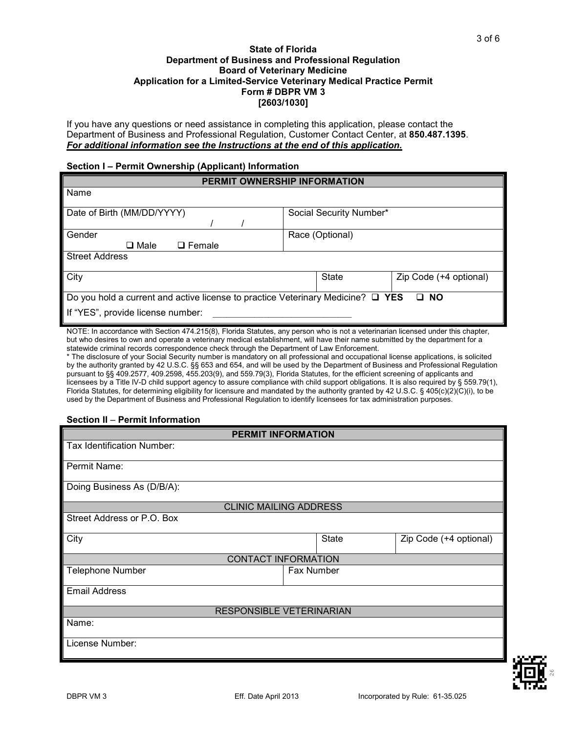### **State of Florida Department of Business and Professional Regulation Board of Veterinary Medicine Application for a Limited-Service Veterinary Medical Practice Permit Form # DBPR VM 3 [2603/1030]**

If you have any questions or need assistance in completing this application, please contact the Department of Business and Professional Regulation, Customer Contact Center, at **850.487.1395**. *For additional information see the Instructions at the end of this application.*

### **Section I – Permit Ownership (Applicant) Information**

|                                                                                                                           | PERMIT OWNERSHIP INFORMATION |                        |
|---------------------------------------------------------------------------------------------------------------------------|------------------------------|------------------------|
| Name                                                                                                                      |                              |                        |
| Date of Birth (MM/DD/YYYY)                                                                                                | Social Security Number*      |                        |
| Gender<br>$\square$ Male<br>$\Box$ Female                                                                                 | Race (Optional)              |                        |
| <b>Street Address</b>                                                                                                     |                              |                        |
| City                                                                                                                      | State                        | Zip Code (+4 optional) |
| Do you hold a current and active license to practice Veterinary Medicine? $\Box$ YES<br>If "YES", provide license number: |                              | $\Box$ NO              |

NOTE: In accordance with Section 474.215(8), Florida Statutes, any person who is not a veterinarian licensed under this chapter, but who desires to own and operate a veterinary medical establishment, will have their name submitted by the department for a statewide criminal records correspondence check through the Department of Law Enforcement.

\* The disclosure of your Social Security number is mandatory on all professional and occupational license applications, is solicited by the authority granted by 42 U.S.C. §§ 653 and 654, and will be used by the Department of Business and Professional Regulation pursuant to §§ 409.2577, 409.2598, 455.203(9), and 559.79(3), Florida Statutes, for the efficient screening of applicants and licensees by a Title IV-D child support agency to assure compliance with child support obligations. It is also required by § 559.79(1), Florida Statutes, for determining eligibility for licensure and mandated by the authority granted by 42 U.S.C. § 405(c)(2)(C)(i), to be used by the Department of Business and Professional Regulation to identify licensees for tax administration purposes.

### **Section II** – **Permit Information**

| <b>PERMIT INFORMATION</b>       |                                        |  |  |  |  |  |  |  |  |  |
|---------------------------------|----------------------------------------|--|--|--|--|--|--|--|--|--|
| Tax Identification Number:      |                                        |  |  |  |  |  |  |  |  |  |
| Permit Name:                    |                                        |  |  |  |  |  |  |  |  |  |
| Doing Business As (D/B/A):      |                                        |  |  |  |  |  |  |  |  |  |
| <b>CLINIC MAILING ADDRESS</b>   |                                        |  |  |  |  |  |  |  |  |  |
| Street Address or P.O. Box      |                                        |  |  |  |  |  |  |  |  |  |
| City                            | <b>State</b><br>Zip Code (+4 optional) |  |  |  |  |  |  |  |  |  |
| <b>CONTACT INFORMATION</b>      |                                        |  |  |  |  |  |  |  |  |  |
| <b>Telephone Number</b>         | Fax Number                             |  |  |  |  |  |  |  |  |  |
| <b>Email Address</b>            |                                        |  |  |  |  |  |  |  |  |  |
| <b>RESPONSIBLE VETERINARIAN</b> |                                        |  |  |  |  |  |  |  |  |  |
| Name:                           |                                        |  |  |  |  |  |  |  |  |  |
| License Number:                 |                                        |  |  |  |  |  |  |  |  |  |

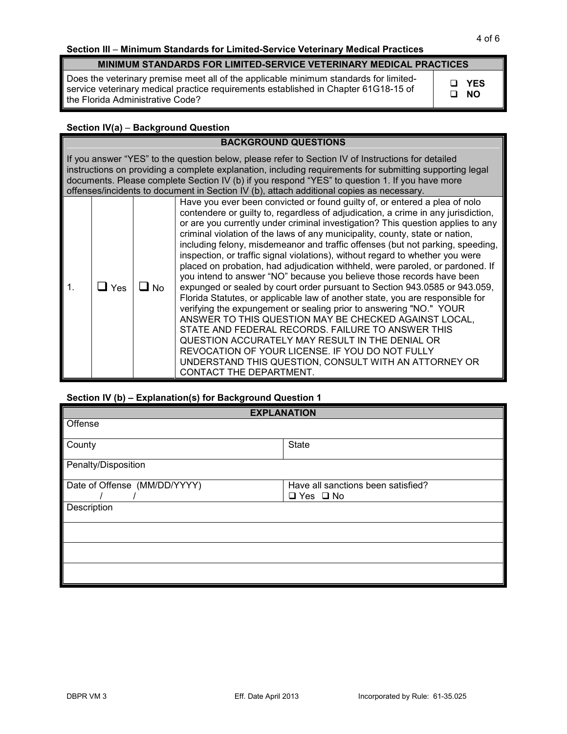# **Section III** – **Minimum Standards for Limited-Service Veterinary Medical Practices**

## **MINIMUM STANDARDS FOR LIMITED-SERVICE VETERINARY MEDICAL PRACTICES**

Does the veterinary premise meet all of the applicable minimum standards for limitedservice veterinary medical practice requirements established in Chapter 61G18-15 of the Florida Administrative Code?

 **YES NO**

# **Section IV(a)** – **Background Question**

| <b>BACKGROUND QUESTIONS</b> |                                                                                                                                                                                                                                                                                                                                                                                                              |      |                                                                                                                                                                                                                                                                                                                                                                                                                                                                                                                                                                                                                                                                                                                                                                                                                                                                                                                                                                                                                                                                                                                                                                                                              |  |  |  |  |  |  |
|-----------------------------|--------------------------------------------------------------------------------------------------------------------------------------------------------------------------------------------------------------------------------------------------------------------------------------------------------------------------------------------------------------------------------------------------------------|------|--------------------------------------------------------------------------------------------------------------------------------------------------------------------------------------------------------------------------------------------------------------------------------------------------------------------------------------------------------------------------------------------------------------------------------------------------------------------------------------------------------------------------------------------------------------------------------------------------------------------------------------------------------------------------------------------------------------------------------------------------------------------------------------------------------------------------------------------------------------------------------------------------------------------------------------------------------------------------------------------------------------------------------------------------------------------------------------------------------------------------------------------------------------------------------------------------------------|--|--|--|--|--|--|
|                             | If you answer "YES" to the question below, please refer to Section IV of Instructions for detailed<br>instructions on providing a complete explanation, including requirements for submitting supporting legal<br>documents. Please complete Section IV (b) if you respond "YES" to question 1. If you have more<br>offenses/incidents to document in Section IV (b), attach additional copies as necessary. |      |                                                                                                                                                                                                                                                                                                                                                                                                                                                                                                                                                                                                                                                                                                                                                                                                                                                                                                                                                                                                                                                                                                                                                                                                              |  |  |  |  |  |  |
| $\mathbf 1$ .               | Yes                                                                                                                                                                                                                                                                                                                                                                                                          | l No | Have you ever been convicted or found guilty of, or entered a plea of nolo<br>contendere or guilty to, regardless of adjudication, a crime in any jurisdiction,<br>or are you currently under criminal investigation? This question applies to any<br>criminal violation of the laws of any municipality, county, state or nation,<br>including felony, misdemeanor and traffic offenses (but not parking, speeding,<br>inspection, or traffic signal violations), without regard to whether you were<br>placed on probation, had adjudication withheld, were paroled, or pardoned. If<br>you intend to answer "NO" because you believe those records have been<br>expunged or sealed by court order pursuant to Section 943.0585 or 943.059,<br>Florida Statutes, or applicable law of another state, you are responsible for<br>verifying the expungement or sealing prior to answering "NO." YOUR<br>ANSWER TO THIS QUESTION MAY BE CHECKED AGAINST LOCAL,<br>STATE AND FEDERAL RECORDS. FAILURE TO ANSWER THIS<br>QUESTION ACCURATELY MAY RESULT IN THE DENIAL OR<br>REVOCATION OF YOUR LICENSE. IF YOU DO NOT FULLY<br>UNDERSTAND THIS QUESTION, CONSULT WITH AN ATTORNEY OR<br>CONTACT THE DEPARTMENT. |  |  |  |  |  |  |

## **Section IV (b) – Explanation(s) for Background Question 1**

| <b>EXPLANATION</b>           |                                                            |  |  |  |  |  |  |
|------------------------------|------------------------------------------------------------|--|--|--|--|--|--|
| Offense                      |                                                            |  |  |  |  |  |  |
| County                       | State                                                      |  |  |  |  |  |  |
| Penalty/Disposition          |                                                            |  |  |  |  |  |  |
| Date of Offense (MM/DD/YYYY) | Have all sanctions been satisfied?<br>$\Box$ Yes $\Box$ No |  |  |  |  |  |  |
| Description                  |                                                            |  |  |  |  |  |  |
|                              |                                                            |  |  |  |  |  |  |
|                              |                                                            |  |  |  |  |  |  |
|                              |                                                            |  |  |  |  |  |  |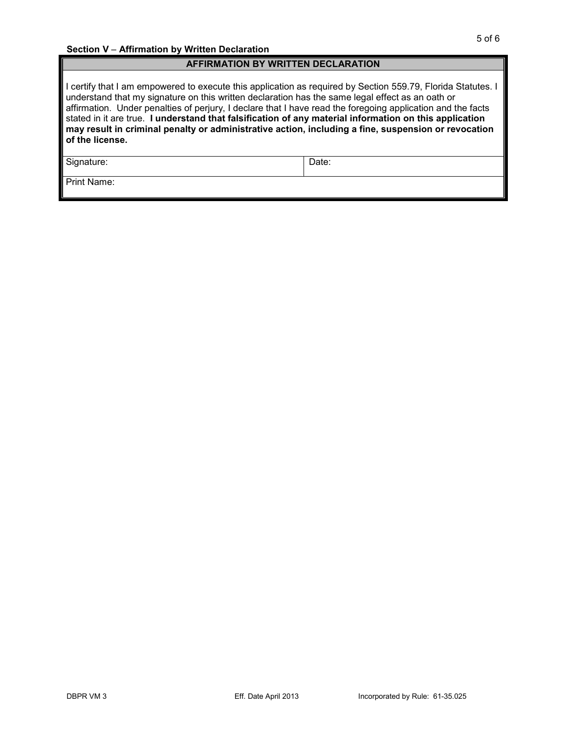### **AFFIRMATION BY WRITTEN DECLARATION**

I certify that I am empowered to execute this application as required by Section 559.79, Florida Statutes. I understand that my signature on this written declaration has the same legal effect as an oath or affirmation. Under penalties of perjury, I declare that I have read the foregoing application and the facts stated in it are true. **I understand that falsification of any material information on this application may result in criminal penalty or administrative action, including a fine, suspension or revocation of the license.**

Signature: Date: Date:

Print Name: